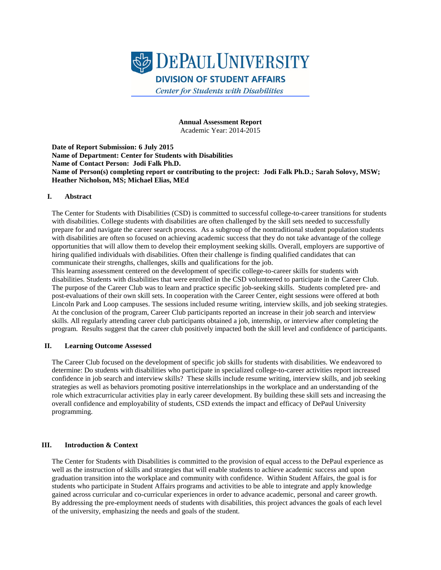

**Annual Assessment Report** Academic Year: 2014-2015

**Date of Report Submission: 6 July 2015 Name of Department: Center for Students with Disabilities Name of Contact Person: Jodi Falk Ph.D. Name of Person(s) completing report or contributing to the project: Jodi Falk Ph.D.; Sarah Solovy, MSW; Heather Nicholson, MS; Michael Elias, MEd**

#### **I. Abstract**

The Center for Students with Disabilities (CSD) is committed to successful college-to-career transitions for students with disabilities. College students with disabilities are often challenged by the skill sets needed to successfully prepare for and navigate the career search process. As a subgroup of the nontraditional student population students with disabilities are often so focused on achieving academic success that they do not take advantage of the college opportunities that will allow them to develop their employment seeking skills. Overall, employers are supportive of hiring qualified individuals with disabilities. Often their challenge is finding qualified candidates that can communicate their strengths, challenges, skills and qualifications for the job.

This learning assessment centered on the development of specific college-to-career skills for students with disabilities. Students with disabilities that were enrolled in the CSD volunteered to participate in the Career Club. The purpose of the Career Club was to learn and practice specific job-seeking skills. Students completed pre- and post-evaluations of their own skill sets. In cooperation with the Career Center, eight sessions were offered at both Lincoln Park and Loop campuses. The sessions included resume writing, interview skills, and job seeking strategies. At the conclusion of the program, Career Club participants reported an increase in their job search and interview skills. All regularly attending career club participants obtained a job, internship, or interview after completing the program. Results suggest that the career club positively impacted both the skill level and confidence of participants.

#### **II. Learning Outcome Assessed**

The Career Club focused on the development of specific job skills for students with disabilities. We endeavored to determine: Do students with disabilities who participate in specialized college-to-career activities report increased confidence in job search and interview skills? These skills include resume writing, interview skills, and job seeking strategies as well as behaviors promoting positive interrelationships in the workplace and an understanding of the role which extracurricular activities play in early career development. By building these skill sets and increasing the overall confidence and employability of students, CSD extends the impact and efficacy of DePaul University programming.

## **III. Introduction & Context**

The Center for Students with Disabilities is committed to the provision of equal access to the DePaul experience as well as the instruction of skills and strategies that will enable students to achieve academic success and upon graduation transition into the workplace and community with confidence. Within Student Affairs, the goal is for students who participate in Student Affairs programs and activities to be able to integrate and apply knowledge gained across curricular and co-curricular experiences in order to advance academic, personal and career growth. By addressing the pre-employment needs of students with disabilities, this project advances the goals of each level of the university, emphasizing the needs and goals of the student.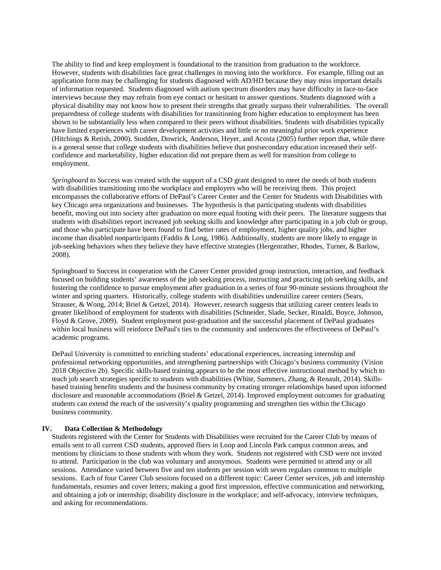The ability to find and keep employment is foundational to the transition from graduation to the workforce. However, students with disabilities face great challenges in moving into the workforce. For example, filling out an application form may be challenging for students diagnosed with AD/HD because they may miss important details of information requested. Students diagnosed with autism spectrum disorders may have difficulty in face-to-face interviews because they may refrain from eye contact or hesitant to answer questions. Students diagnosed with a physical disability may not know how to present their strengths that greatly surpass their vulnerabilities. The overall preparedness of college students with disabilities for transitioning from higher education to employment has been shown to be substantially less when compared to their peers without disabilities. Students with disabilities typically have limited experiences with career development activities and little or no meaningful prior work experience (Hitchings & Retish, 2000). Stodden, Dowrick, Anderson, Heyer, and Acosta (2005) further report that, while there is a general sense that college students with disabilities believe that postsecondary education increased their selfconfidence and marketability, higher education did not prepare them as well for transition from college to employment.

*Springboard to Success* was created with the support of a CSD grant designed to meet the needs of both students with disabilities transitioning into the workplace and employers who will be receiving them. This project encompasses the collaborative efforts of DePaul's Career Center and the Center for Students with Disabilities with key Chicago area organizations and businesses. The hypothesis is that participating students with disabilities benefit, moving out into society after graduation on more equal footing with their peers. The literature suggests that students with disabilities report increased job seeking skills and knowledge after participating in a job club or group, and those who participate have been found to find better rates of employment, higher quality jobs, and higher income than disabled nonparticipants (Faddis & Long, 1986). Additionally, students are more likely to engage in job-seeking behaviors when they believe they have effective strategies (Hergenrather, Rhodes, Turner, & Barlow, 2008).

Springboard to Success in cooperation with the Career Center provided group instruction, interaction, and feedback focused on building students' awareness of the job seeking process, instructing and practicing job seeking skills, and fostering the confidence to pursue employment after graduation in a series of four 90-minute sessions throughout the winter and spring quarters. Historically, college students with disabilities underutilize career centers (Sears, Strauser, & Wong, 2014; Briel & Getzel, 2014). However, research suggests that utilizing career centers leads to greater likelihood of employment for students with disabilities (Schneider, Slade, Secker, Rinaldi, Boyce, Johnson, Floyd & Grove, 2009). Student employment post-graduation and the successful placement of DePaul graduates within local business will reinforce DePaul's ties to the community and underscores the effectiveness of DePaul's academic programs.

DePaul University is committed to enriching students' educational experiences, increasing internship and professional networking opportunities, and strengthening partnerships with Chicago's business community (Vision 2018 Objective 2b). Specific skills-based training appears to be the most effective instructional method by which to teach job search strategies specific to students with disabilities (White, Summers, Zhang, & Renault, 2014). Skillsbased training benefits students and the business community by creating stronger relationships based upon informed disclosure and reasonable accommodations (Briel & Getzel, 2014). Improved employment outcomes for graduating students can extend the reach of the university's quality programming and strengthen ties within the Chicago business community.

## **IV. Data Collection & Methodology**

Students registered with the Center for Students with Disabilities were recruited for the Career Club by means of emails sent to all current CSD students, approved fliers in Loop and Lincoln Park campus common areas, and mentions by clinicians to those students with whom they work. Students not registered with CSD were not invited to attend. Participation in the club was voluntary and anonymous. Students were permitted to attend any or all sessions. Attendance varied between five and ten students per session with seven regulars common to multiple sessions. Each of four Career Club sessions focused on a different topic: Career Center services, job and internship fundamentals, resumes and cover letters; making a good first impression, effective communication and networking, and obtaining a job or internship; disability disclosure in the workplace; and self-advocacy, interview techniques, and asking for recommendations.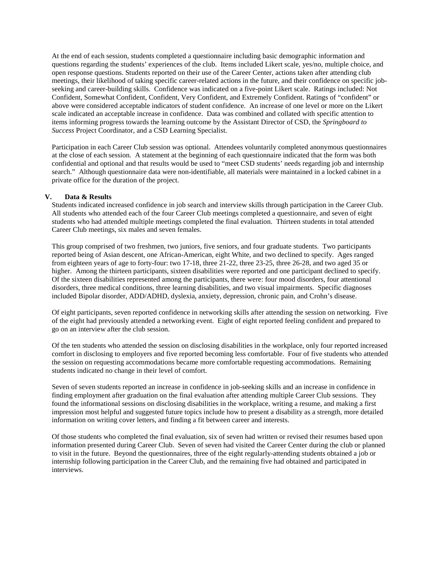At the end of each session, students completed a questionnaire including basic demographic information and questions regarding the students' experiences of the club. Items included Likert scale, yes/no, multiple choice, and open response questions. Students reported on their use of the Career Center, actions taken after attending club meetings, their likelihood of taking specific career-related actions in the future, and their confidence on specific jobseeking and career-building skills. Confidence was indicated on a five-point Likert scale. Ratings included: Not Confident, Somewhat Confident, Confident, Very Confident, and Extremely Confident. Ratings of "confident" or above were considered acceptable indicators of student confidence. An increase of one level or more on the Likert scale indicated an acceptable increase in confidence. Data was combined and collated with specific attention to items informing progress towards the learning outcome by the Assistant Director of CSD, the *Springboard to Success* Project Coordinator, and a CSD Learning Specialist.

Participation in each Career Club session was optional. Attendees voluntarily completed anonymous questionnaires at the close of each session. A statement at the beginning of each questionnaire indicated that the form was both confidential and optional and that results would be used to "meet CSD students' needs regarding job and internship search." Although questionnaire data were non-identifiable, all materials were maintained in a locked cabinet in a private office for the duration of the project.

#### **V. Data & Results**

Students indicated increased confidence in job search and interview skills through participation in the Career Club. All students who attended each of the four Career Club meetings completed a questionnaire, and seven of eight students who had attended multiple meetings completed the final evaluation. Thirteen students in total attended Career Club meetings, six males and seven females.

This group comprised of two freshmen, two juniors, five seniors, and four graduate students. Two participants reported being of Asian descent, one African-American, eight White, and two declined to specify. Ages ranged from eighteen years of age to forty-four: two 17-18, three 21-22, three 23-25, three 26-28, and two aged 35 or higher. Among the thirteen participants, sixteen disabilities were reported and one participant declined to specify. Of the sixteen disabilities represented among the participants, there were: four mood disorders, four attentional disorders, three medical conditions, three learning disabilities, and two visual impairments. Specific diagnoses included Bipolar disorder, ADD/ADHD, dyslexia, anxiety, depression, chronic pain, and Crohn's disease.

Of eight participants, seven reported confidence in networking skills after attending the session on networking. Five of the eight had previously attended a networking event. Eight of eight reported feeling confident and prepared to go on an interview after the club session.

Of the ten students who attended the session on disclosing disabilities in the workplace, only four reported increased comfort in disclosing to employers and five reported becoming less comfortable. Four of five students who attended the session on requesting accommodations became more comfortable requesting accommodations. Remaining students indicated no change in their level of comfort.

Seven of seven students reported an increase in confidence in job-seeking skills and an increase in confidence in finding employment after graduation on the final evaluation after attending multiple Career Club sessions. They found the informational sessions on disclosing disabilities in the workplace, writing a resume, and making a first impression most helpful and suggested future topics include how to present a disability as a strength, more detailed information on writing cover letters, and finding a fit between career and interests.

Of those students who completed the final evaluation, six of seven had written or revised their resumes based upon information presented during Career Club. Seven of seven had visited the Career Center during the club or planned to visit in the future. Beyond the questionnaires, three of the eight regularly-attending students obtained a job or internship following participation in the Career Club, and the remaining five had obtained and participated in interviews.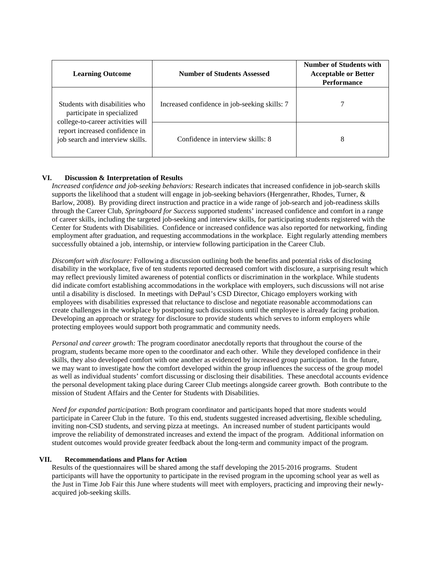| <b>Learning Outcome</b>                                                                                                                                                 | <b>Number of Students Assessed</b>            | <b>Number of Students with</b><br><b>Acceptable or Better</b><br><b>Performance</b> |
|-------------------------------------------------------------------------------------------------------------------------------------------------------------------------|-----------------------------------------------|-------------------------------------------------------------------------------------|
| Students with disabilities who<br>participate in specialized<br>college-to-career activities will<br>report increased confidence in<br>job search and interview skills. | Increased confidence in job-seeking skills: 7 |                                                                                     |
|                                                                                                                                                                         | Confidence in interview skills: 8             | 8                                                                                   |

# **VI. Discussion & Interpretation of Results**

*Increased confidence and job-seeking behaviors:* Research indicates that increased confidence in job-search skills supports the likelihood that a student will engage in job-seeking behaviors (Hergenrather, Rhodes, Turner, & Barlow, 2008). By providing direct instruction and practice in a wide range of job-search and job-readiness skills through the Career Club, *Springboard for Success* supported students' increased confidence and comfort in a range of career skills, including the targeted job-seeking and interview skills, for participating students registered with the Center for Students with Disabilities. Confidence or increased confidence was also reported for networking, finding employment after graduation, and requesting accommodations in the workplace. Eight regularly attending members successfully obtained a job, internship, or interview following participation in the Career Club.

*Discomfort with disclosure:* Following a discussion outlining both the benefits and potential risks of disclosing disability in the workplace, five of ten students reported decreased comfort with disclosure, a surprising result which may reflect previously limited awareness of potential conflicts or discrimination in the workplace. While students did indicate comfort establishing accommodations in the workplace with employers, such discussions will not arise until a disability is disclosed. In meetings with DePaul's CSD Director, Chicago employers working with employees with disabilities expressed that reluctance to disclose and negotiate reasonable accommodations can create challenges in the workplace by postponing such discussions until the employee is already facing probation. Developing an approach or strategy for disclosure to provide students which serves to inform employers while protecting employees would support both programmatic and community needs.

*Personal and career growth:* The program coordinator anecdotally reports that throughout the course of the program, students became more open to the coordinator and each other. While they developed confidence in their skills, they also developed comfort with one another as evidenced by increased group participation. In the future, we may want to investigate how the comfort developed within the group influences the success of the group model as well as individual students' comfort discussing or disclosing their disabilities. These anecdotal accounts evidence the personal development taking place during Career Club meetings alongside career growth. Both contribute to the mission of Student Affairs and the Center for Students with Disabilities.

*Need for expanded participation:* Both program coordinator and participants hoped that more students would participate in Career Club in the future. To this end, students suggested increased advertising, flexible scheduling, inviting non-CSD students, and serving pizza at meetings. An increased number of student participants would improve the reliability of demonstrated increases and extend the impact of the program. Additional information on student outcomes would provide greater feedback about the long-term and community impact of the program.

## **VII. Recommendations and Plans for Action**

Results of the questionnaires will be shared among the staff developing the 2015-2016 programs. Student participants will have the opportunity to participate in the revised program in the upcoming school year as well as the Just in Time Job Fair this June where students will meet with employers, practicing and improving their newlyacquired job-seeking skills.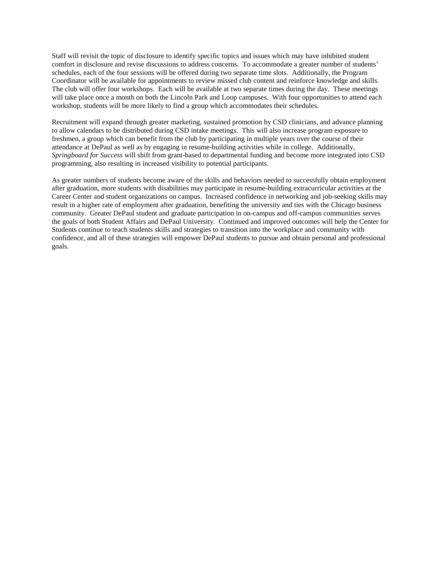Staff will revisit the topic of disclosure to identify specific topics and issues which may have inhibited student comfort in disclosure and revise discussions to address concerns. To accommodate a greater number of students' schedules, each of the four sessions will be offered during two separate time slots. Additionally, the Program Coordinator will be available for appointments to review missed club content and reinforce knowledge and skills. The club will offer four workshops. Each will be available at two separate times during the day. These meetings will take place once a month on both the Lincoln Park and Loop campuses. With four opportunities to attend each workshop, students will be more likely to find a group which accommodates their schedules.

Recruitment will expand through greater marketing, sustained promotion by CSD clinicians, and advance planning to allow calendars to be distributed during CSD intake meetings. This will also increase program exposure to freshmen, a group which can benefit from the club by participating in multiple years over the course of their attendance at DePaul as well as by engaging in resume-building activities while in college. Additionally, *Springboard for Success* will shift from grant-based to departmental funding and become more integrated into CSD programming, also resulting in increased visibility to potential participants.

As greater numbers of students become aware of the skills and behaviors needed to successfully obtain employment after graduation, more students with disabilities may participate in resume-building extracurricular activities at the Career Center and student organizations on campus. Increased confidence in networking and job-seeking skills may result in a higher rate of employment after graduation, benefiting the university and ties with the Chicago business community. Greater DePaul student and graduate participation in on-campus and off-campus communities serves the goals of both Student Affairs and DePaul University. Continued and improved outcomes will help the Center for Students continue to teach students skills and strategies to transition into the workplace and community with confidence, and all of these strategies will empower DePaul students to pursue and obtain personal and professional goals.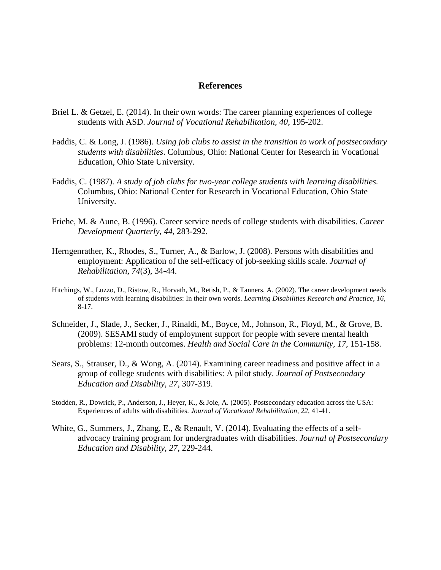# **References**

- Briel L. & Getzel, E. (2014). In their own words: The career planning experiences of college students with ASD. *Journal of Vocational Rehabilitation, 40*, 195-202.
- Faddis, C. & Long, J. (1986). *Using job clubs to assist in the transition to work of postsecondary students with disabilities*. Columbus, Ohio: National Center for Research in Vocational Education, Ohio State University.
- Faddis, C. (1987). *A study of job clubs for two-year college students with learning disabilities.*  Columbus, Ohio: National Center for Research in Vocational Education, Ohio State University.
- Friehe, M. & Aune, B. (1996). Career service needs of college students with disabilities. *Career Development Quarterly, 44*, 283-292.
- Herngenrather, K., Rhodes, S., Turner, A., & Barlow, J. (2008). Persons with disabilities and employment: Application of the self-efficacy of job-seeking skills scale. *Journal of Rehabilitation, 74*(3), 34-44.
- Hitchings, W., Luzzo, D., Ristow, R., Horvath, M., Retish, P., & Tanners, A. (2002). The career development needs of students with learning disabilities: In their own words. *Learning Disabilities Research and Practice, 16*, 8-17.
- Schneider, J., Slade, J., Secker, J., Rinaldi, M., Boyce, M., Johnson, R., Floyd, M., & Grove, B. (2009). SESAMI study of employment support for people with severe mental health problems: 12-month outcomes. *Health and Social Care in the Community, 17,* 151-158.
- Sears, S., Strauser, D., & Wong, A. (2014). Examining career readiness and positive affect in a group of college students with disabilities: A pilot study. *Journal of Postsecondary Education and Disability, 27*, 307-319.
- Stodden, R., Dowrick, P., Anderson, J., Heyer, K., & Joie, A. (2005). Postsecondary education across the USA: Experiences of adults with disabilities. *Journal of Vocational Rehabilitation, 22*, 41-41.
- White, G., Summers, J., Zhang, E., & Renault, V. (2014). Evaluating the effects of a selfadvocacy training program for undergraduates with disabilities. *Journal of Postsecondary Education and Disability, 27*, 229-244.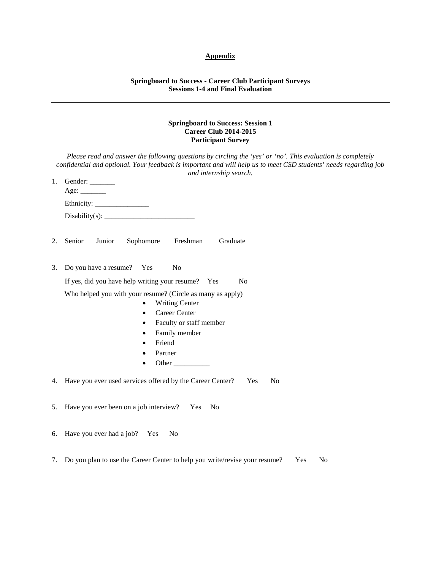# **Appendix**

#### **Springboard to Success - Career Club Participant Surveys Sessions 1-4 and Final Evaluation**

#### **Springboard to Success: Session 1 Career Club 2014-2015 Participant Survey**

| Please read and answer the following questions by circling the 'yes' or 'no'. This evaluation is completely<br>confidential and optional. Your feedback is important and will help us to meet CSD students' needs regarding job<br>and internship search. |                                                                                                                                                                                             |  |  |
|-----------------------------------------------------------------------------------------------------------------------------------------------------------------------------------------------------------------------------------------------------------|---------------------------------------------------------------------------------------------------------------------------------------------------------------------------------------------|--|--|
| 1.                                                                                                                                                                                                                                                        | Gender: $\_\_$                                                                                                                                                                              |  |  |
|                                                                                                                                                                                                                                                           |                                                                                                                                                                                             |  |  |
|                                                                                                                                                                                                                                                           |                                                                                                                                                                                             |  |  |
| 2.                                                                                                                                                                                                                                                        | Senior<br>Junior<br>Freshman<br>Graduate<br>Sophomore                                                                                                                                       |  |  |
| 3.                                                                                                                                                                                                                                                        | Do you have a resume? Yes<br>N <sub>0</sub>                                                                                                                                                 |  |  |
|                                                                                                                                                                                                                                                           | If yes, did you have help writing your resume? Yes<br>No                                                                                                                                    |  |  |
|                                                                                                                                                                                                                                                           | Who helped you with your resume? (Circle as many as apply)<br><b>Writing Center</b><br>Career Center<br>$\bullet$<br>Faculty or staff member<br>Family member<br>Friend<br>Partner<br>Other |  |  |
|                                                                                                                                                                                                                                                           | 4. Have you ever used services offered by the Career Center?<br>Yes<br>N <sub>o</sub>                                                                                                       |  |  |
| 5.                                                                                                                                                                                                                                                        | Have you ever been on a job interview? Yes<br>No                                                                                                                                            |  |  |
| 6.                                                                                                                                                                                                                                                        | Have you ever had a job? Yes<br>N <sub>0</sub>                                                                                                                                              |  |  |
| 7.                                                                                                                                                                                                                                                        | Do you plan to use the Career Center to help you write/revise your resume?<br>N <sub>o</sub><br>Yes                                                                                         |  |  |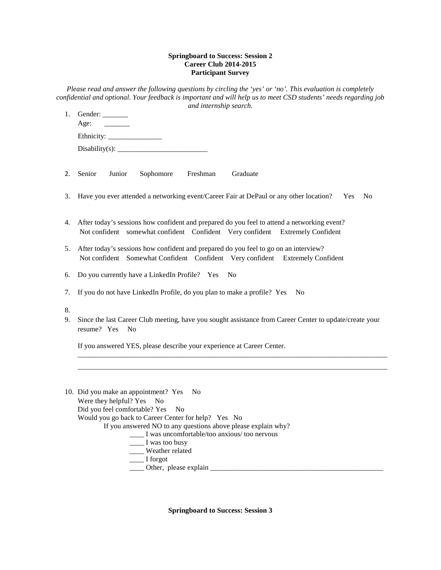#### **Springboard to Success: Session 2 Career Club 2014-2015 Participant Survey**

*Please read and answer the following questions by circling the 'yes' or 'no'. This evaluation is completely confidential and optional. Your feedback is important and will help us to meet CSD students' needs regarding job and internship search.*

- 1. Gender: \_\_\_\_\_\_\_ Age: Ethnicity: \_\_\_\_\_\_\_\_\_\_\_\_\_\_\_ Disability(s): \_\_\_\_\_\_\_\_\_\_\_\_\_\_\_\_\_\_\_\_\_\_\_\_\_
- 2. Senior Junior Sophomore Freshman Graduate
- 3. Have you ever attended a networking event/Career Fair at DePaul or any other location? Yes No
- 4. After today's sessions how confident and prepared do you feel to attend a networking event? Not confident somewhat confident Confident Very confident Extremely Confident
- 5. After today's sessions how confident and prepared do you feel to go on an interview? Not confident Somewhat Confident Confident Very confident Extremely Confident
- 6. Do you currently have a LinkedIn Profile? Yes No
- 7. If you do not have LinkedIn Profile, do you plan to make a profile? Yes No
- 8.
- 9. Since the last Career Club meeting, have you sought assistance from Career Center to update/create your resume? Yes No

\_\_\_\_\_\_\_\_\_\_\_\_\_\_\_\_\_\_\_\_\_\_\_\_\_\_\_\_\_\_\_\_\_\_\_\_\_\_\_\_\_\_\_\_\_\_\_\_\_\_\_\_\_\_\_\_\_\_\_\_\_\_\_\_\_\_\_\_\_\_\_\_\_\_\_\_\_\_\_\_\_\_\_\_\_\_ \_\_\_\_\_\_\_\_\_\_\_\_\_\_\_\_\_\_\_\_\_\_\_\_\_\_\_\_\_\_\_\_\_\_\_\_\_\_\_\_\_\_\_\_\_\_\_\_\_\_\_\_\_\_\_\_\_\_\_\_\_\_\_\_\_\_\_\_\_\_\_\_\_\_\_\_\_\_\_\_\_\_\_\_\_\_

If you answered YES, please describe your experience at Career Center.

| 10. Did you make an appointment? Yes No                       |
|---------------------------------------------------------------|
| Were they helpful? Yes No                                     |
| Did you feel comfortable? Yes No                              |
| Would you go back to Career Center for help? Yes No           |
| If you answered NO to any questions above please explain why? |
| I was uncomfortable/too anxious/too nervous                   |
| I was too busy                                                |
| Weather related                                               |
| I forgot                                                      |
| Other, please explain                                         |

**Springboard to Success: Session 3**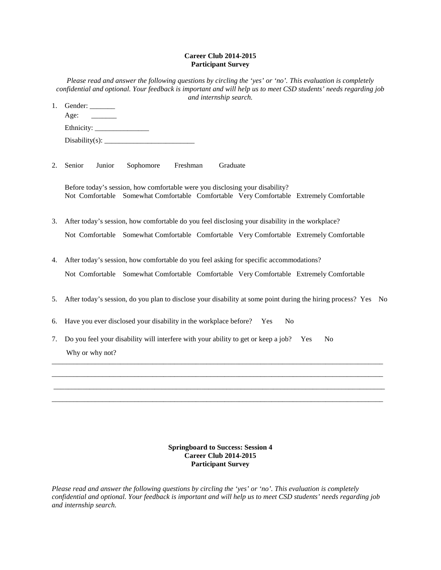## **Career Club 2014-2015 Participant Survey**

| Please read and answer the following questions by circling the 'yes' or 'no'. This evaluation is completely<br>confidential and optional. Your feedback is important and will help us to meet CSD students' needs regarding job<br>and internship search. |
|-----------------------------------------------------------------------------------------------------------------------------------------------------------------------------------------------------------------------------------------------------------|
| Gender:                                                                                                                                                                                                                                                   |
| Age:                                                                                                                                                                                                                                                      |
| Ethnicity:                                                                                                                                                                                                                                                |
| $Disability(s)$ :                                                                                                                                                                                                                                         |
|                                                                                                                                                                                                                                                           |
|                                                                                                                                                                                                                                                           |

2. Senior Junior Sophomore Freshman Graduate

Before today's session, how comfortable were you disclosing your disability? Not Comfortable Somewhat Comfortable Comfortable Very Comfortable Extremely Comfortable

- 3. After today's session, how comfortable do you feel disclosing your disability in the workplace? Not Comfortable Somewhat Comfortable Comfortable Very Comfortable Extremely Comfortable
- 4. After today's session, how comfortable do you feel asking for specific accommodations? Not Comfortable Somewhat Comfortable Comfortable Very Comfortable Extremely Comfortable
- 5. After today's session, do you plan to disclose your disability at some point during the hiring process? Yes No

\_\_\_\_\_\_\_\_\_\_\_\_\_\_\_\_\_\_\_\_\_\_\_\_\_\_\_\_\_\_\_\_\_\_\_\_\_\_\_\_\_\_\_\_\_\_\_\_\_\_\_\_\_\_\_\_\_\_\_\_\_\_\_\_\_\_\_\_\_\_\_\_\_\_\_\_\_\_\_\_\_\_\_\_\_\_\_\_\_\_\_\_ \_\_\_\_\_\_\_\_\_\_\_\_\_\_\_\_\_\_\_\_\_\_\_\_\_\_\_\_\_\_\_\_\_\_\_\_\_\_\_\_\_\_\_\_\_\_\_\_\_\_\_\_\_\_\_\_\_\_\_\_\_\_\_\_\_\_\_\_\_\_\_\_\_\_\_\_\_\_\_\_\_\_\_\_\_\_\_\_\_\_\_\_  $\_$  ,  $\_$  ,  $\_$  ,  $\_$  ,  $\_$  ,  $\_$  ,  $\_$  ,  $\_$  ,  $\_$  ,  $\_$  ,  $\_$  ,  $\_$  ,  $\_$  ,  $\_$  ,  $\_$  ,  $\_$  ,  $\_$  ,  $\_$  ,  $\_$  ,  $\_$  ,  $\_$  ,  $\_$  ,  $\_$  ,  $\_$  ,  $\_$  ,  $\_$  ,  $\_$  ,  $\_$  ,  $\_$  ,  $\_$  ,  $\_$  ,  $\_$  ,  $\_$  ,  $\_$  ,  $\_$  ,  $\_$  ,  $\_$  , \_\_\_\_\_\_\_\_\_\_\_\_\_\_\_\_\_\_\_\_\_\_\_\_\_\_\_\_\_\_\_\_\_\_\_\_\_\_\_\_\_\_\_\_\_\_\_\_\_\_\_\_\_\_\_\_\_\_\_\_\_\_\_\_\_\_\_\_\_\_\_\_\_\_\_\_\_\_\_\_\_\_\_\_\_\_\_\_\_\_\_\_

- 6. Have you ever disclosed your disability in the workplace before? Yes No
- 7. Do you feel your disability will interfere with your ability to get or keep a job? Yes No Why or why not?

## **Springboard to Success: Session 4 Career Club 2014-2015 Participant Survey**

*Please read and answer the following questions by circling the 'yes' or 'no'. This evaluation is completely confidential and optional. Your feedback is important and will help us to meet CSD students' needs regarding job and internship search.*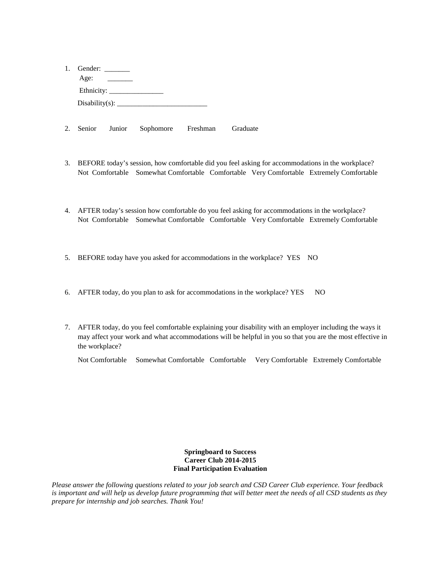| 1. Gender:                       |
|----------------------------------|
| Age:<br>$\overline{\phantom{a}}$ |
|                                  |
| Disability(s): $\_\_$            |

- 2. Senior Junior Sophomore Freshman Graduate
- 3. BEFORE today's session, how comfortable did you feel asking for accommodations in the workplace? Not Comfortable Somewhat Comfortable Comfortable Very Comfortable Extremely Comfortable
- 4. AFTER today's session how comfortable do you feel asking for accommodations in the workplace? Not Comfortable Somewhat Comfortable Comfortable Very Comfortable Extremely Comfortable
- 5. BEFORE today have you asked for accommodations in the workplace? YES NO
- 6. AFTER today, do you plan to ask for accommodations in the workplace? YES NO
- 7. AFTER today, do you feel comfortable explaining your disability with an employer including the ways it may affect your work and what accommodations will be helpful in you so that you are the most effective in the workplace?

Not Comfortable Somewhat Comfortable Comfortable Very Comfortable Extremely Comfortable

#### **Springboard to Success Career Club 2014-2015 Final Participation Evaluation**

*Please answer the following questions related to your job search and CSD Career Club experience. Your feedback is important and will help us develop future programming that will better meet the needs of all CSD students as they prepare for internship and job searches. Thank You!*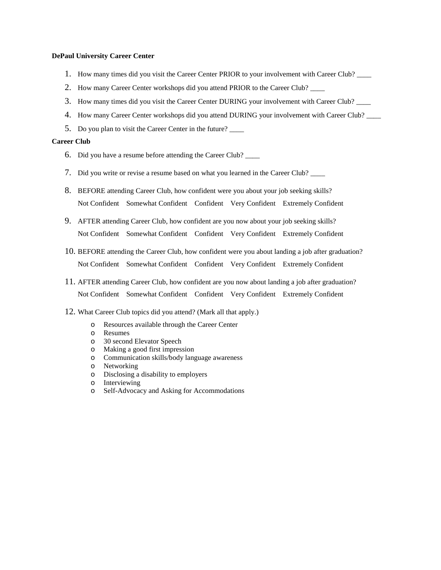#### **DePaul University Career Center**

- 1. How many times did you visit the Career Center PRIOR to your involvement with Career Club? \_\_\_\_
- 2. How many Career Center workshops did you attend PRIOR to the Career Club? \_\_\_\_
- 3. How many times did you visit the Career Center DURING your involvement with Career Club? \_\_\_\_
- 4. How many Career Center workshops did you attend DURING your involvement with Career Club?
- 5. Do you plan to visit the Career Center in the future?

#### **Career Club**

- 6. Did you have a resume before attending the Career Club? \_\_\_\_
- 7. Did you write or revise a resume based on what you learned in the Career Club? \_\_\_\_
- 8. BEFORE attending Career Club, how confident were you about your job seeking skills? Not Confident Somewhat Confident Confident Very Confident Extremely Confident
- 9. AFTER attending Career Club, how confident are you now about your job seeking skills? Not Confident Somewhat Confident Confident Very Confident Extremely Confident
- 10. BEFORE attending the Career Club, how confident were you about landing a job after graduation? Not Confident Somewhat Confident Confident Very Confident Extremely Confident
- 11. AFTER attending Career Club, how confident are you now about landing a job after graduation? Not Confident Somewhat Confident Confident Very Confident Extremely Confident

#### 12. What Career Club topics did you attend? (Mark all that apply.)

- o Resources available through the Career Center
- o Resumes
- o 30 second Elevator Speech
- o Making a good first impression
- o Communication skills/body language awareness
- o Networking
- o Disclosing a disability to employers
- o Interviewing
- Self-Advocacy and Asking for Accommodations